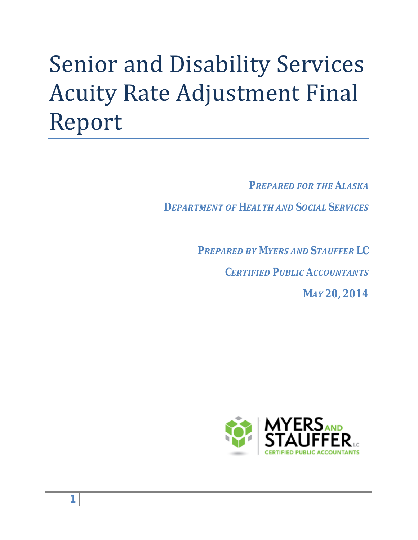# Senior and Disability Services Acuity Rate Adjustment Final Report

*PREPARED FOR THE ALASKA* 

*DEPARTMENT OF HEALTH AND SOCIAL SERVICES* 

*PREPARED BY MYERS AND STAUFFER LC CERTIFIED PUBLIC ACCOUNTANTS* 

*MAY 20, 2014*

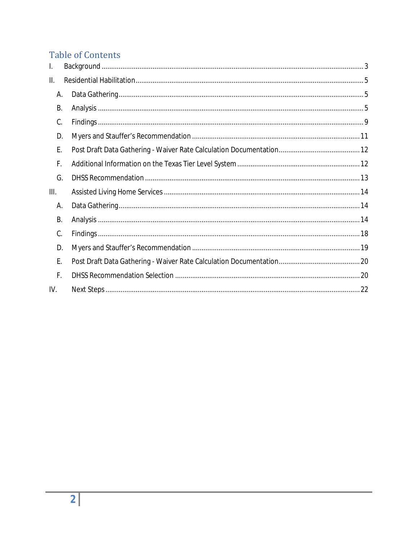# **Table of Contents**

| I.      |  |
|---------|--|
| II.     |  |
| Α.      |  |
| B.      |  |
| C.      |  |
| D.      |  |
| Ε.      |  |
| F.      |  |
| G.      |  |
| III.    |  |
| А.      |  |
| B.      |  |
| C.      |  |
| D.      |  |
| Ε.      |  |
| $F_{1}$ |  |
| IV.     |  |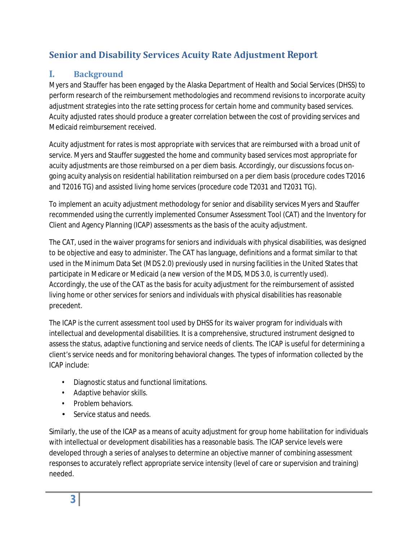# **Senior and Disability Services Acuity Rate Adjustment Report**

## <span id="page-2-0"></span>**I. Background**

Myers and Stauffer has been engaged by the Alaska Department of Health and Social Services (DHSS) to perform research of the reimbursement methodologies and recommend revisions to incorporate acuity adjustment strategies into the rate setting process for certain home and community based services. Acuity adjusted rates should produce a greater correlation between the cost of providing services and Medicaid reimbursement received.

Acuity adjustment for rates is most appropriate with services that are reimbursed with a broad unit of service. Myers and Stauffer suggested the home and community based services most appropriate for acuity adjustments are those reimbursed on a per diem basis. Accordingly, our discussions focus ongoing acuity analysis on residential habilitation reimbursed on a per diem basis (procedure codes T2016 and T2016 TG) and assisted living home services (procedure code T2031 and T2031 TG).

To implement an acuity adjustment methodology for senior and disability services Myers and Stauffer recommended using the currently implemented Consumer Assessment Tool (CAT) and the Inventory for Client and Agency Planning (ICAP) assessments as the basis of the acuity adjustment.

The CAT, used in the waiver programs for seniors and individuals with physical disabilities, was designed to be objective and easy to administer. The CAT has language, definitions and a format similar to that used in the Minimum Data Set (MDS 2.0) previously used in nursing facilities in the United States that participate in Medicare or Medicaid (a new version of the MDS, MDS 3.0, is currently used). Accordingly, the use of the CAT as the basis for acuity adjustment for the reimbursement of assisted living home or other services for seniors and individuals with physical disabilities has reasonable precedent.

The ICAP is the current assessment tool used by DHSS for its waiver program for individuals with intellectual and developmental disabilities. It is a comprehensive, structured instrument designed to assess the status, adaptive functioning and service needs of clients. The ICAP is useful for determining a client's service needs and for monitoring behavioral changes. The types of information collected by the ICAP include:

- Diagnostic status and functional limitations.
- Adaptive behavior skills.
- Problem behaviors.
- Service status and needs.

Similarly, the use of the ICAP as a means of acuity adjustment for group home habilitation for individuals with intellectual or development disabilities has a reasonable basis. The ICAP service levels were developed through a series of analyses to determine an objective manner of combining assessment responses to accurately reflect appropriate service intensity (level of care or supervision and training) needed.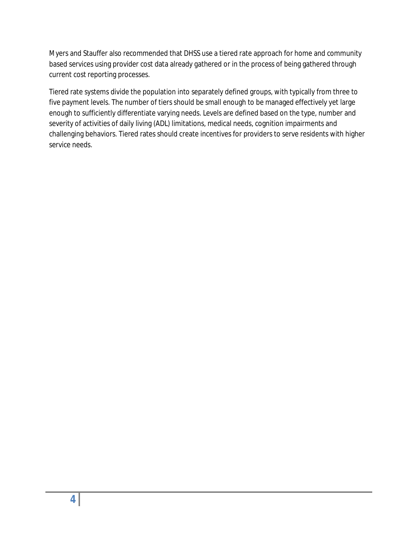Myers and Stauffer also recommended that DHSS use a tiered rate approach for home and community based services using provider cost data already gathered or in the process of being gathered through current cost reporting processes.

Tiered rate systems divide the population into separately defined groups, with typically from three to five payment levels. The number of tiers should be small enough to be managed effectively yet large enough to sufficiently differentiate varying needs. Levels are defined based on the type, number and severity of activities of daily living (ADL) limitations, medical needs, cognition impairments and challenging behaviors. Tiered rates should create incentives for providers to serve residents with higher service needs.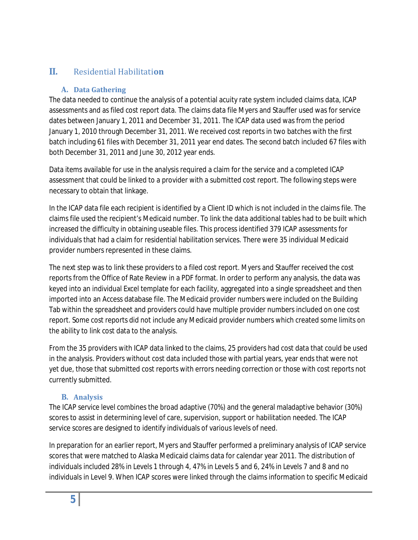## <span id="page-4-1"></span><span id="page-4-0"></span>**II.** Residential Habilitati**on**

## **A. Data Gathering**

The data needed to continue the analysis of a potential acuity rate system included claims data, ICAP assessments and as filed cost report data. The claims data file Myers and Stauffer used was for service dates between January 1, 2011 and December 31, 2011. The ICAP data used was from the period January 1, 2010 through December 31, 2011. We received cost reports in two batches with the first batch including 61 files with December 31, 2011 year end dates. The second batch included 67 files with both December 31, 2011 and June 30, 2012 year ends.

Data items available for use in the analysis required a claim for the service and a completed ICAP assessment that could be linked to a provider with a submitted cost report. The following steps were necessary to obtain that linkage.

In the ICAP data file each recipient is identified by a Client ID which is not included in the claims file. The claims file used the recipient's Medicaid number. To link the data additional tables had to be built which increased the difficulty in obtaining useable files. This process identified 379 ICAP assessments for individuals that had a claim for residential habilitation services. There were 35 individual Medicaid provider numbers represented in these claims.

The next step was to link these providers to a filed cost report. Myers and Stauffer received the cost reports from the Office of Rate Review in a PDF format. In order to perform any analysis, the data was keyed into an individual Excel template for each facility, aggregated into a single spreadsheet and then imported into an Access database file. The Medicaid provider numbers were included on the Building Tab within the spreadsheet and providers could have multiple provider numbers included on one cost report. Some cost reports did not include any Medicaid provider numbers which created some limits on the ability to link cost data to the analysis.

From the 35 providers with ICAP data linked to the claims, 25 providers had cost data that could be used in the analysis. Providers without cost data included those with partial years, year ends that were not yet due, those that submitted cost reports with errors needing correction or those with cost reports not currently submitted.

## **B. Analysis**

<span id="page-4-2"></span>The ICAP service level combines the broad adaptive (70%) and the general maladaptive behavior (30%) scores to assist in determining level of care, supervision, support or habilitation needed. The ICAP service scores are designed to identify individuals of various levels of need.

In preparation for an earlier report, Myers and Stauffer performed a preliminary analysis of ICAP service scores that were matched to Alaska Medicaid claims data for calendar year 2011. The distribution of individuals included 28% in Levels 1 through 4, 47% in Levels 5 and 6, 24% in Levels 7 and 8 and no individuals in Level 9. When ICAP scores were linked through the claims information to specific Medicaid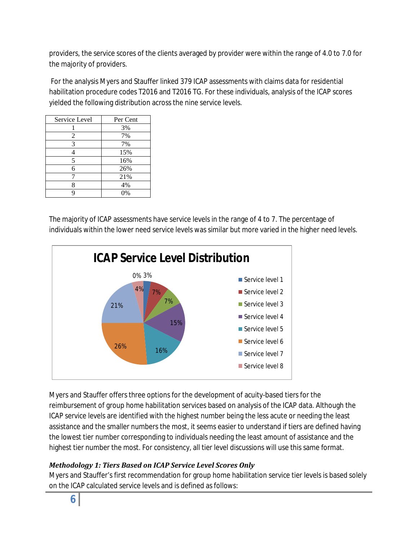providers, the service scores of the clients averaged by provider were within the range of 4.0 to 7.0 for the majority of providers.

For the analysis Myers and Stauffer linked 379 ICAP assessments with claims data for residential habilitation procedure codes T2016 and T2016 TG. For these individuals, analysis of the ICAP scores yielded the following distribution across the nine service levels.

| Service Level | Per Cent |
|---------------|----------|
|               | 3%       |
| 2             | 7%       |
| 3             | 7%       |
|               | 15%      |
| 5             | 16%      |
| 6             | 26%      |
|               | 21%      |
|               | 4%       |
|               | 0%       |

The majority of ICAP assessments have service levels in the range of 4 to 7. The percentage of individuals within the lower need service levels was similar but more varied in the higher need levels.



Myers and Stauffer offers three options for the development of acuity-based tiers for the reimbursement of group home habilitation services based on analysis of the ICAP data. Although the ICAP service levels are identified with the highest number being the less acute or needing the least assistance and the smaller numbers the most, it seems easier to understand if tiers are defined having the lowest tier number corresponding to individuals needing the least amount of assistance and the highest tier number the most. For consistency, all tier level discussions will use this same format.

## *Methodology 1: Tiers Based on ICAP Service Level Scores Only*

Myers and Stauffer's first recommendation for group home habilitation service tier levels is based solely on the ICAP calculated service levels and is defined as follows: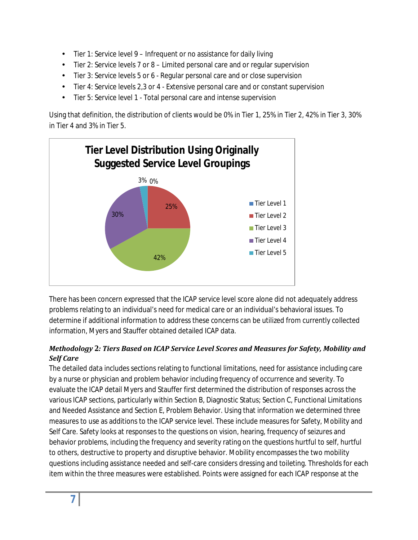- Tier 1: Service level 9 Infrequent or no assistance for daily living ¥.
- Tier 2: Service levels 7 or 8 Limited personal care and or regular supervision
- Tier 3: Service levels 5 or 6 Regular personal care and or close supervision ä.
- Tier 4: Service levels 2,3 or 4 Extensive personal care and or constant supervision
- Tier 5: Service level 1 Total personal care and intense supervision

Using that definition, the distribution of clients would be 0% in Tier 1, 25% in Tier 2, 42% in Tier 3, 30% in Tier 4 and 3% in Tier 5.



There has been concern expressed that the ICAP service level score alone did not adequately address problems relating to an individual's need for medical care or an individual's behavioral issues. To determine if additional information to address these concerns can be utilized from currently collected information, Myers and Stauffer obtained detailed ICAP data.

## *Methodology 2: Tiers Based on ICAP Service Level Scores and Measures for Safety, Mobility and Self Care*

The detailed data includes sections relating to functional limitations, need for assistance including care by a nurse or physician and problem behavior including frequency of occurrence and severity. To evaluate the ICAP detail Myers and Stauffer first determined the distribution of responses across the various ICAP sections, particularly within Section B, Diagnostic Status; Section C, Functional Limitations and Needed Assistance and Section E, Problem Behavior. Using that information we determined three measures to use as additions to the ICAP service level. These include measures for Safety, Mobility and Self Care. Safety looks at responses to the questions on vision, hearing, frequency of seizures and behavior problems, including the frequency and severity rating on the questions hurtful to self, hurtful to others, destructive to property and disruptive behavior. Mobility encompasses the two mobility questions including assistance needed and self-care considers dressing and toileting. Thresholds for each item within the three measures were established. Points were assigned for each ICAP response at the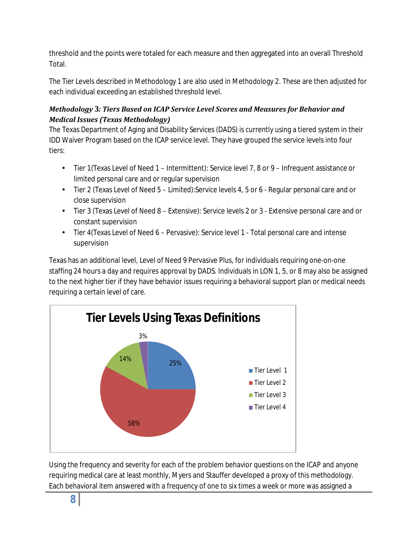threshold and the points were totaled for each measure and then aggregated into an overall Threshold Total.

The Tier Levels described in Methodology 1 are also used in Methodology 2. These are then adjusted for each individual exceeding an established threshold level.

## *Methodology 3: Tiers Based on ICAP Service Level Scores and Measures for Behavior and Medical Issues (Texas Methodology)*

The Texas Department of Aging and Disability Services (DADS) is currently using a tiered system in their IDD Waiver Program based on the ICAP service level. They have grouped the service levels into four tiers:

- L. Tier 1(Texas Level of Need 1 – Intermittent): Service level 7, 8 or 9 – Infrequent assistance or limited personal care and or regular supervision
- Tier 2 (Texas Level of Need 5 Limited):Service levels 4, 5 or 6 Regular personal care and or close supervision
- Tier 3 (Texas Level of Need 8 Extensive): Service levels 2 or 3 Extensive personal care and or constant supervision
- Tier 4(Texas Level of Need 6 Pervasive): Service level 1 Total personal care and intense supervision

Texas has an additional level, Level of Need 9 Pervasive Plus, for individuals requiring one-on-one staffing 24 hours a day and requires approval by DADS. Individuals in LON 1, 5, or 8 may also be assigned to the next higher tier if they have behavior issues requiring a behavioral support plan or medical needs requiring a certain level of care.



Using the frequency and severity for each of the problem behavior questions on the ICAP and anyone requiring medical care at least monthly, Myers and Stauffer developed a proxy of this methodology. Each behavioral item answered with a frequency of one to six times a week or more was assigned a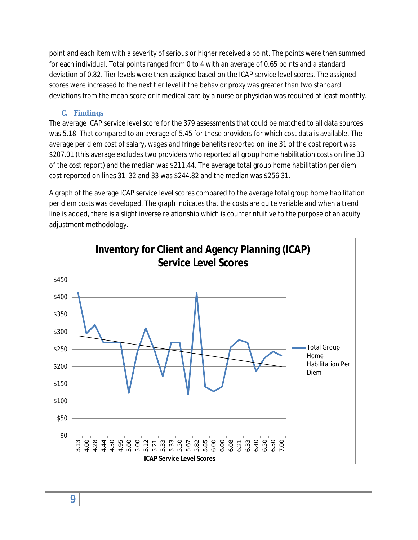point and each item with a severity of serious or higher received a point. The points were then summed for each individual. Total points ranged from 0 to 4 with an average of 0.65 points and a standard deviation of 0.82. Tier levels were then assigned based on the ICAP service level scores. The assigned scores were increased to the next tier level if the behavior proxy was greater than two standard deviations from the mean score or if medical care by a nurse or physician was required at least monthly.

## **C. Findings**

<span id="page-8-0"></span>The average ICAP service level score for the 379 assessments that could be matched to all data sources was 5.18. That compared to an average of 5.45 for those providers for which cost data is available. The average per diem cost of salary, wages and fringe benefits reported on line 31 of the cost report was \$207.01 (this average excludes two providers who reported all group home habilitation costs on line 33 of the cost report) and the median was \$211.44. The average total group home habilitation per diem cost reported on lines 31, 32 and 33 was \$244.82 and the median was \$256.31.

A graph of the average ICAP service level scores compared to the average total group home habilitation per diem costs was developed. The graph indicates that the costs are quite variable and when a trend line is added, there is a slight inverse relationship which is counterintuitive to the purpose of an acuity adjustment methodology.

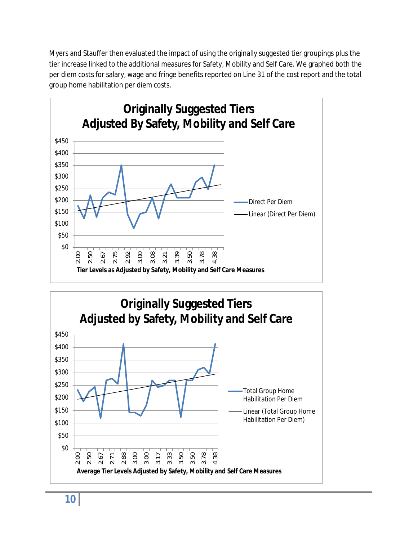Myers and Stauffer then evaluated the impact of using the originally suggested tier groupings plus the tier increase linked to the additional measures for Safety, Mobility and Self Care. We graphed both the per diem costs for salary, wage and fringe benefits reported on Line 31 of the cost report and the total group home habilitation per diem costs.





**10**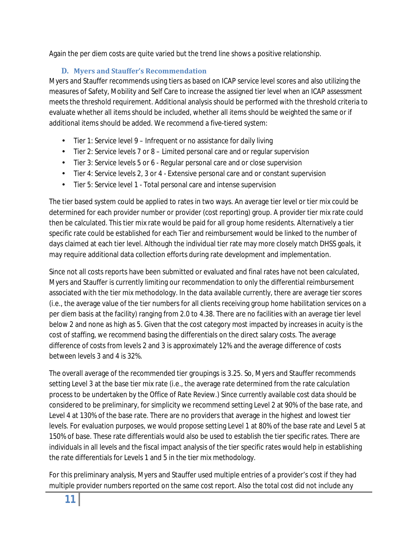Again the per diem costs are quite varied but the trend line shows a positive relationship.

## **D. Myers and Stauffer's Recommendation**

<span id="page-10-0"></span>Myers and Stauffer recommends using tiers as based on ICAP service level scores and also utilizing the measures of Safety, Mobility and Self Care to increase the assigned tier level when an ICAP assessment meets the threshold requirement. Additional analysis should be performed with the threshold criteria to evaluate whether all items should be included, whether all items should be weighted the same or if additional items should be added. We recommend a five-tiered system:

- Tier 1: Service level 9 Infrequent or no assistance for daily living
- Tier 2: Service levels 7 or 8 Limited personal care and or regular supervision  $\mathbf{r}$
- Tier 3: Service levels 5 or 6 Regular personal care and or close supervision ¥.
- Tier 4: Service levels 2, 3 or 4 Extensive personal care and or constant supervision  $\mathbf{r}$
- Tier 5: Service level 1 Total personal care and intense supervision ä,

The tier based system could be applied to rates in two ways. An average tier level or tier mix could be determined for each provider number or provider (cost reporting) group. A provider tier mix rate could then be calculated. This tier mix rate would be paid for all group home residents. Alternatively a tier specific rate could be established for each Tier and reimbursement would be linked to the number of days claimed at each tier level. Although the individual tier rate may more closely match DHSS goals, it may require additional data collection efforts during rate development and implementation.

Since not all costs reports have been submitted or evaluated and final rates have not been calculated, Myers and Stauffer is currently limiting our recommendation to only the differential reimbursement associated with the tier mix methodology. In the data available currently, there are average tier scores (i.e., the average value of the tier numbers for all clients receiving group home habilitation services on a per diem basis at the facility) ranging from 2.0 to 4.38. There are no facilities with an average tier level below 2 and none as high as 5. Given that the cost category most impacted by increases in acuity is the cost of staffing, we recommend basing the differentials on the direct salary costs. The average difference of costs from levels 2 and 3 is approximately 12% and the average difference of costs between levels 3 and 4 is 32%.

The overall average of the recommended tier groupings is 3.25. So, Myers and Stauffer recommends setting Level 3 at the base tier mix rate (i.e., the average rate determined from the rate calculation process to be undertaken by the Office of Rate Review.) Since currently available cost data should be considered to be preliminary, for simplicity we recommend setting Level 2 at 90% of the base rate, and Level 4 at 130% of the base rate. There are no providers that average in the highest and lowest tier levels. For evaluation purposes, we would propose setting Level 1 at 80% of the base rate and Level 5 at 150% of base. These rate differentials would also be used to establish the tier specific rates. There are individuals in all levels and the fiscal impact analysis of the tier specific rates would help in establishing the rate differentials for Levels 1 and 5 in the tier mix methodology.

For this preliminary analysis, Myers and Stauffer used multiple entries of a provider's cost if they had multiple provider numbers reported on the same cost report. Also the total cost did not include any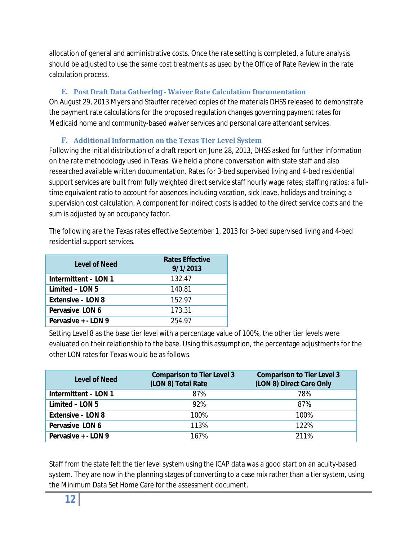allocation of general and administrative costs. Once the rate setting is completed, a future analysis should be adjusted to use the same cost treatments as used by the Office of Rate Review in the rate calculation process.

## **E. Post Draft Data Gathering - Waiver Rate Calculation Documentation**

<span id="page-11-0"></span>On August 29, 2013 Myers and Stauffer received copies of the materials DHSS released to demonstrate the payment rate calculations for the proposed regulation changes governing payment rates for Medicaid home and community-based waiver services and personal care attendant services.

## **F. Additional Information on the Texas Tier Level System**

<span id="page-11-1"></span>Following the initial distribution of a draft report on June 28, 2013, DHSS asked for further information on the rate methodology used in Texas. We held a phone conversation with state staff and also researched available written documentation. Rates for 3-bed supervised living and 4-bed residential support services are built from fully weighted direct service staff hourly wage rates; staffing ratios; a fulltime equivalent ratio to account for absences including vacation, sick leave, holidays and training; a supervision cost calculation. A component for indirect costs is added to the direct service costs and the sum is adjusted by an occupancy factor.

The following are the Texas rates effective September 1, 2013 for 3-bed supervised living and 4-bed residential support services.

| Level of Need        | <b>Rates Effective</b><br>9/1/2013 |
|----------------------|------------------------------------|
| Intermittent - LON 1 | 132.47                             |
| Limited - LON 5      | 140.81                             |
| Extensive - LON 8    | 152.97                             |
| Pervasive LON 6      | 173.31                             |
| Pervasive + - LON 9  | 254 97                             |

Setting Level 8 as the base tier level with a percentage value of 100%, the other tier levels were evaluated on their relationship to the base. Using this assumption, the percentage adjustments for the other LON rates for Texas would be as follows.

| Level of Need        | <b>Comparison to Tier Level 3</b><br>(LON 8) Total Rate | <b>Comparison to Tier Level 3</b><br>(LON 8) Direct Care Only |
|----------------------|---------------------------------------------------------|---------------------------------------------------------------|
| Intermittent - LON 1 | 87%                                                     | 78%                                                           |
| Limited - LON 5      | 92%                                                     | 87%                                                           |
| Extensive - LON 8    | 100%                                                    | 100%                                                          |
| Pervasive LON 6      | 113%                                                    | 122%                                                          |
| Pervasive + - LON 9  | 167%                                                    | 211%                                                          |

Staff from the state felt the tier level system using the ICAP data was a good start on an acuity-based system. They are now in the planning stages of converting to a case mix rather than a tier system, using the Minimum Data Set Home Care for the assessment document.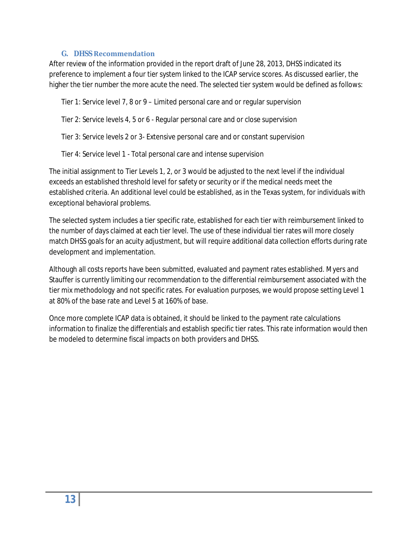#### **G. DHSS Recommendation**

<span id="page-12-0"></span>After review of the information provided in the report draft of June 28, 2013, DHSS indicated its preference to implement a four tier system linked to the ICAP service scores. As discussed earlier, the higher the tier number the more acute the need. The selected tier system would be defined as follows:

Tier 1: Service level 7, 8 or 9 – Limited personal care and or regular supervision

Tier 2: Service levels 4, 5 or 6 - Regular personal care and or close supervision

Tier 3: Service levels 2 or 3- Extensive personal care and or constant supervision

Tier 4: Service level 1 - Total personal care and intense supervision

The initial assignment to Tier Levels 1, 2, or 3 would be adjusted to the next level if the individual exceeds an established threshold level for safety or security or if the medical needs meet the established criteria. An additional level could be established, as in the Texas system, for individuals with exceptional behavioral problems.

The selected system includes a tier specific rate, established for each tier with reimbursement linked to the number of days claimed at each tier level. The use of these individual tier rates will more closely match DHSS goals for an acuity adjustment, but will require additional data collection efforts during rate development and implementation.

Although all costs reports have been submitted, evaluated and payment rates established. Myers and Stauffer is currently limiting our recommendation to the differential reimbursement associated with the tier mix methodology and not specific rates. For evaluation purposes, we would propose setting Level 1 at 80% of the base rate and Level 5 at 160% of base.

Once more complete ICAP data is obtained, it should be linked to the payment rate calculations information to finalize the differentials and establish specific tier rates. This rate information would then be modeled to determine fiscal impacts on both providers and DHSS.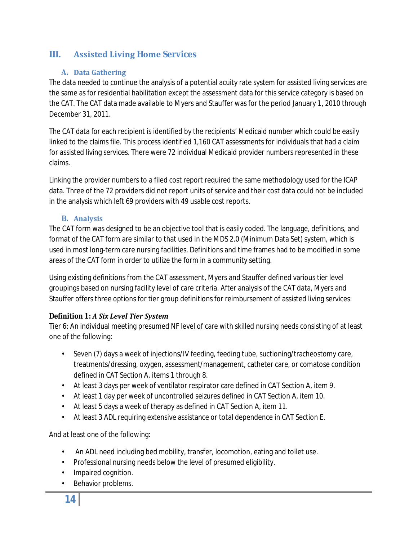## <span id="page-13-1"></span><span id="page-13-0"></span>**III. Assisted Living Home Services**

## **A. Data Gathering**

The data needed to continue the analysis of a potential acuity rate system for assisted living services are the same as for residential habilitation except the assessment data for this service category is based on the CAT. The CAT data made available to Myers and Stauffer was for the period January 1, 2010 through December 31, 2011.

The CAT data for each recipient is identified by the recipients' Medicaid number which could be easily linked to the claims file. This process identified 1,160 CAT assessments for individuals that had a claim for assisted living services. There were 72 individual Medicaid provider numbers represented in these claims.

Linking the provider numbers to a filed cost report required the same methodology used for the ICAP data. Three of the 72 providers did not report units of service and their cost data could not be included in the analysis which left 69 providers with 49 usable cost reports.

## **B. Analysis**

<span id="page-13-2"></span>The CAT form was designed to be an objective tool that is easily coded. The language, definitions, and format of the CAT form are similar to that used in the MDS 2.0 (Minimum Data Set) system, which is used in most long-term care nursing facilities. Definitions and time frames had to be modified in some areas of the CAT form in order to utilize the form in a community setting.

Using existing definitions from the CAT assessment, Myers and Stauffer defined various tier level groupings based on nursing facility level of care criteria. After analysis of the CAT data, Myers and Stauffer offers three options for tier group definitions for reimbursement of assisted living services:

## *Definition 1: A Six Level Tier System*

Tier 6: An individual meeting presumed NF level of care with skilled nursing needs consisting of at least one of the following:

- Seven (7) days a week of injections/IV feeding, feeding tube, suctioning/tracheostomy care, treatments/dressing, oxygen, assessment/management, catheter care, or comatose condition defined in CAT Section A, items 1 through 8.
- At least 3 days per week of ventilator respirator care defined in CAT Section A, item 9.
- At least 1 day per week of uncontrolled seizures defined in CAT Section A, item 10.
- At least 5 days a week of therapy as defined in CAT Section A, item 11.
- At least 3 ADL requiring extensive assistance or total dependence in CAT Section E.

And at least one of the following:

- An ADL need including bed mobility, transfer, locomotion, eating and toilet use.
- Professional nursing needs below the level of presumed eligibility.
- Impaired cognition.
- Behavior problems.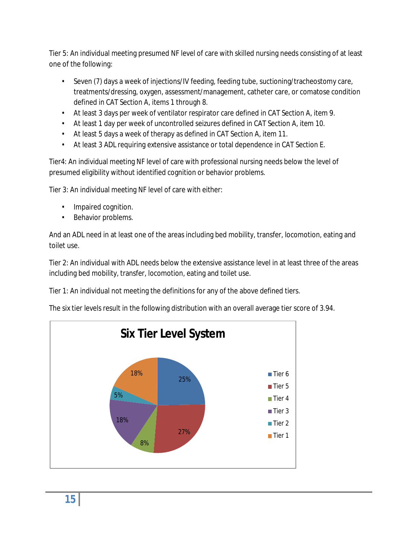Tier 5: An individual meeting presumed NF level of care with skilled nursing needs consisting of at least one of the following:

- Seven (7) days a week of injections/IV feeding, feeding tube, suctioning/tracheostomy care, treatments/dressing, oxygen, assessment/management, catheter care, or comatose condition defined in CAT Section A, items 1 through 8.
- At least 3 days per week of ventilator respirator care defined in CAT Section A, item 9.
- At least 1 day per week of uncontrolled seizures defined in CAT Section A, item 10.
- At least 5 days a week of therapy as defined in CAT Section A, item 11.
- At least 3 ADL requiring extensive assistance or total dependence in CAT Section E.

Tier4: An individual meeting NF level of care with professional nursing needs below the level of presumed eligibility without identified cognition or behavior problems.

Tier 3: An individual meeting NF level of care with either:

- Impaired cognition.
- Behavior problems.

And an ADL need in at least one of the areas including bed mobility, transfer, locomotion, eating and toilet use.

Tier 2: An individual with ADL needs below the extensive assistance level in at least three of the areas including bed mobility, transfer, locomotion, eating and toilet use.

Tier 1: An individual not meeting the definitions for any of the above defined tiers.

The six tier levels result in the following distribution with an overall average tier score of 3.94.

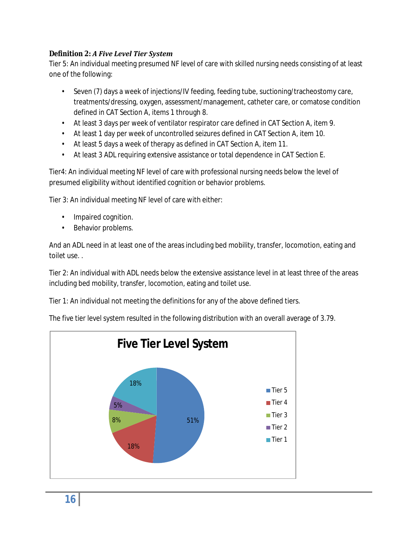## *Definition 2: A Five Level Tier System*

Tier 5: An individual meeting presumed NF level of care with skilled nursing needs consisting of at least one of the following:

- Seven (7) days a week of injections/IV feeding, feeding tube, suctioning/tracheostomy care, treatments/dressing, oxygen, assessment/management, catheter care, or comatose condition defined in CAT Section A, items 1 through 8.
- At least 3 days per week of ventilator respirator care defined in CAT Section A, item 9.
- At least 1 day per week of uncontrolled seizures defined in CAT Section A, item 10.
- At least 5 days a week of therapy as defined in CAT Section A, item 11.
- At least 3 ADL requiring extensive assistance or total dependence in CAT Section E.

Tier4: An individual meeting NF level of care with professional nursing needs below the level of presumed eligibility without identified cognition or behavior problems.

Tier 3: An individual meeting NF level of care with either:

- Impaired cognition.
- Behavior problems.

And an ADL need in at least one of the areas including bed mobility, transfer, locomotion, eating and toilet use. .

Tier 2: An individual with ADL needs below the extensive assistance level in at least three of the areas including bed mobility, transfer, locomotion, eating and toilet use.

Tier 1: An individual not meeting the definitions for any of the above defined tiers.

The five tier level system resulted in the following distribution with an overall average of 3.79.

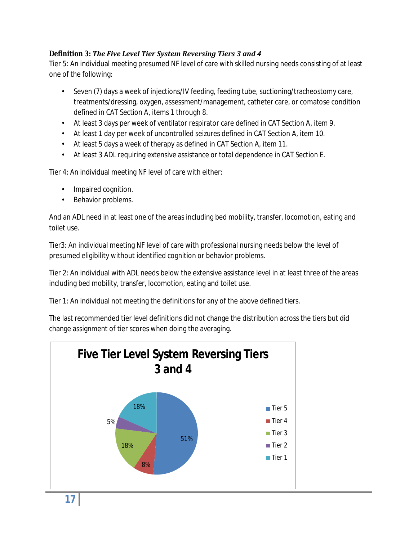## *Definition 3: The Five Level Tier System Reversing Tiers 3 and 4*

Tier 5: An individual meeting presumed NF level of care with skilled nursing needs consisting of at least one of the following:

- Seven (7) days a week of injections/IV feeding, feeding tube, suctioning/tracheostomy care, treatments/dressing, oxygen, assessment/management, catheter care, or comatose condition defined in CAT Section A, items 1 through 8.
- At least 3 days per week of ventilator respirator care defined in CAT Section A, item 9.
- At least 1 day per week of uncontrolled seizures defined in CAT Section A, item 10.
- At least 5 days a week of therapy as defined in CAT Section A, item 11.
- At least 3 ADL requiring extensive assistance or total dependence in CAT Section E.

Tier 4: An individual meeting NF level of care with either:

- Impaired cognition.
- Behavior problems.

And an ADL need in at least one of the areas including bed mobility, transfer, locomotion, eating and toilet use.

Tier3: An individual meeting NF level of care with professional nursing needs below the level of presumed eligibility without identified cognition or behavior problems.

Tier 2: An individual with ADL needs below the extensive assistance level in at least three of the areas including bed mobility, transfer, locomotion, eating and toilet use.

Tier 1: An individual not meeting the definitions for any of the above defined tiers.

The last recommended tier level definitions did not change the distribution across the tiers but did change assignment of tier scores when doing the averaging.

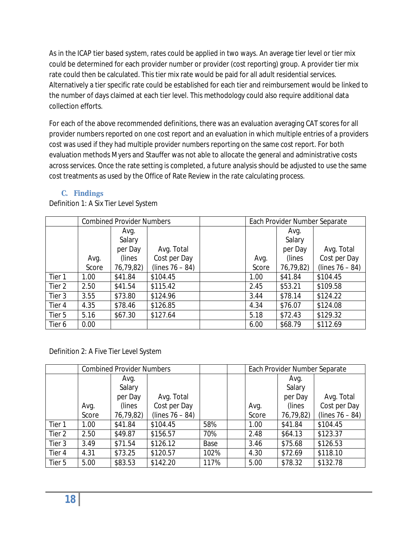As in the ICAP tier based system, rates could be applied in two ways. An average tier level or tier mix could be determined for each provider number or provider (cost reporting) group. A provider tier mix rate could then be calculated. This tier mix rate would be paid for all adult residential services. Alternatively a tier specific rate could be established for each tier and reimbursement would be linked to the number of days claimed at each tier level. This methodology could also require additional data collection efforts.

For each of the above recommended definitions, there was an evaluation averaging CAT scores for all provider numbers reported on one cost report and an evaluation in which multiple entries of a providers cost was used if they had multiple provider numbers reporting on the same cost report. For both evaluation methods Myers and Stauffer was not able to allocate the general and administrative costs across services. Once the rate setting is completed, a future analysis should be adjusted to use the same cost treatments as used by the Office of Rate Review in the rate calculating process.

## **C. Findings**

<span id="page-17-0"></span>Definition 1: A Six Tier Level System

|        | <b>Combined Provider Numbers</b> |           |                    | Each Provider Number Separate |           |                    |
|--------|----------------------------------|-----------|--------------------|-------------------------------|-----------|--------------------|
|        |                                  | Avg.      |                    |                               | Avg.      |                    |
|        |                                  | Salary    |                    |                               | Salary    |                    |
|        |                                  | per Day   | Avg. Total         |                               | per Day   | Avg. Total         |
|        | Avg.                             | (lines)   | Cost per Day       | Avg.                          | (lines)   | Cost per Day       |
|        | Score                            | 76,79,82) | (lines $76 - 84$ ) | Score                         | 76,79,82) | (lines $76 - 84$ ) |
| Tier 1 | 1.00                             | \$41.84   | \$104.45           | 1.00                          | \$41.84   | \$104.45           |
| Tier 2 | 2.50                             | \$41.54   | \$115.42           | 2.45                          | \$53.21   | \$109.58           |
| Tier 3 | 3.55                             | \$73.80   | \$124.96           | 3.44                          | \$78.14   | \$124.22           |
| Tier 4 | 4.35                             | \$78.46   | \$126.85           | 4.34                          | \$76.07   | \$124.08           |
| Tier 5 | 5.16                             | \$67.30   | \$127.64           | 5.18                          | \$72.43   | \$129.32           |
| Tier 6 | 0.00                             |           |                    | 6.00                          | \$68.79   | \$112.69           |

Definition 2: A Five Tier Level System

|        | <b>Combined Provider Numbers</b> |           |                    |      | Each Provider Number Separate |           |                    |
|--------|----------------------------------|-----------|--------------------|------|-------------------------------|-----------|--------------------|
|        |                                  | Avg.      |                    |      |                               | Avg.      |                    |
|        |                                  | Salary    |                    |      |                               | Salary    |                    |
|        |                                  | per Day   | Avg. Total         |      |                               | per Day   | Avg. Total         |
|        | Avg.                             | (lines)   | Cost per Day       |      | Avg.                          | (lines)   | Cost per Day       |
|        | Score                            | 76,79,82) | (lines $76 - 84$ ) |      | Score                         | 76,79,82) | (lines $76 - 84$ ) |
| Tier 1 | 1.00                             | \$41.84   | \$104.45           | 58%  | 1.00                          | \$41.84   | \$104.45           |
| Tier 2 | 2.50                             | \$49.87   | \$156.57           | 70%  | 2.48                          | \$64.13   | \$123.37           |
| Tier 3 | 3.49                             | \$71.54   | \$126.12           | Base | 3.46                          | \$75.68   | \$126.53           |
| Tier 4 | 4.31                             | \$73.25   | \$120.57           | 102% | 4.30                          | \$72.69   | \$118.10           |
| Tier 5 | 5.00                             | \$83.53   | \$142.20           | 117% | 5.00                          | \$78.32   | \$132.78           |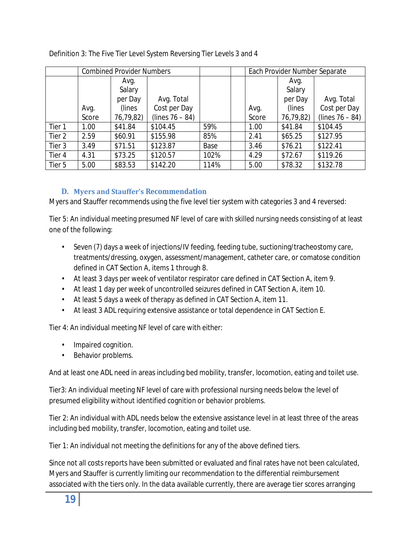|        | <b>Combined Provider Numbers</b> |           | Each Provider Number Separate |      |       |           |                    |
|--------|----------------------------------|-----------|-------------------------------|------|-------|-----------|--------------------|
|        |                                  | Avg.      |                               |      |       | Avg.      |                    |
|        |                                  | Salary    |                               |      |       | Salary    |                    |
|        |                                  | per Day   | Avg. Total                    |      |       | per Day   | Avg. Total         |
|        | Avg.                             | (lines)   | Cost per Day                  |      | Avg.  | (lines)   | Cost per Day       |
|        | Score                            | 76,79,82) | (lines $76 - 84$ )            |      | Score | 76,79,82) | (lines $76 - 84$ ) |
| Tier 1 | 1.00                             | \$41.84   | \$104.45                      | 59%  | 1.00  | \$41.84   | \$104.45           |
| Tier 2 | 2.59                             | \$60.91   | \$155.98                      | 85%  | 2.41  | \$65.25   | \$127.95           |
| Tier 3 | 3.49                             | \$71.51   | \$123.87                      | Base | 3.46  | \$76.21   | \$122.41           |
| Tier 4 | 4.31                             | \$73.25   | \$120.57                      | 102% | 4.29  | \$72.67   | \$119.26           |
| Tier 5 | 5.00                             | \$83.53   | \$142.20                      | 114% | 5.00  | \$78.32   | \$132.78           |

## Definition 3: The Five Tier Level System Reversing Tier Levels 3 and 4

### **D. Myers and Stauffer's Recommendation**

<span id="page-18-0"></span>Myers and Stauffer recommends using the five level tier system with categories 3 and 4 reversed:

Tier 5: An individual meeting presumed NF level of care with skilled nursing needs consisting of at least one of the following:

- Seven (7) days a week of injections/IV feeding, feeding tube, suctioning/tracheostomy care, treatments/dressing, oxygen, assessment/management, catheter care, or comatose condition defined in CAT Section A, items 1 through 8.
- At least 3 days per week of ventilator respirator care defined in CAT Section A, item 9.
- At least 1 day per week of uncontrolled seizures defined in CAT Section A, item 10.
- At least 5 days a week of therapy as defined in CAT Section A, item 11.
- At least 3 ADL requiring extensive assistance or total dependence in CAT Section E.

Tier 4: An individual meeting NF level of care with either:

- Impaired cognition.
- Behavior problems.

And at least one ADL need in areas including bed mobility, transfer, locomotion, eating and toilet use.

Tier3: An individual meeting NF level of care with professional nursing needs below the level of presumed eligibility without identified cognition or behavior problems.

Tier 2: An individual with ADL needs below the extensive assistance level in at least three of the areas including bed mobility, transfer, locomotion, eating and toilet use.

Tier 1: An individual not meeting the definitions for any of the above defined tiers.

Since not all costs reports have been submitted or evaluated and final rates have not been calculated, Myers and Stauffer is currently limiting our recommendation to the differential reimbursement associated with the tiers only. In the data available currently, there are average tier scores arranging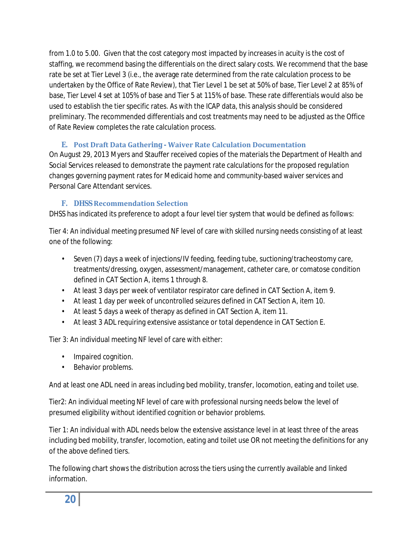from 1.0 to 5.00. Given that the cost category most impacted by increases in acuity is the cost of staffing, we recommend basing the differentials on the direct salary costs. We recommend that the base rate be set at Tier Level 3 (i.e., the average rate determined from the rate calculation process to be undertaken by the Office of Rate Review), that Tier Level 1 be set at 50% of base, Tier Level 2 at 85% of base, Tier Level 4 set at 105% of base and Tier 5 at 115% of base. These rate differentials would also be used to establish the tier specific rates. As with the ICAP data, this analysis should be considered preliminary. The recommended differentials and cost treatments may need to be adjusted as the Office of Rate Review completes the rate calculation process.

## **E. Post Draft Data Gathering - Waiver Rate Calculation Documentation**

<span id="page-19-0"></span>On August 29, 2013 Myers and Stauffer received copies of the materials the Department of Health and Social Services released to demonstrate the payment rate calculations for the proposed regulation changes governing payment rates for Medicaid home and community-based waiver services and Personal Care Attendant services.

## **F. DHSS Recommendation Selection**

<span id="page-19-1"></span>DHSS has indicated its preference to adopt a four level tier system that would be defined as follows:

Tier 4: An individual meeting presumed NF level of care with skilled nursing needs consisting of at least one of the following:

- Seven (7) days a week of injections/IV feeding, feeding tube, suctioning/tracheostomy care, treatments/dressing, oxygen, assessment/management, catheter care, or comatose condition defined in CAT Section A, items 1 through 8.
- At least 3 days per week of ventilator respirator care defined in CAT Section A, item 9.
- At least 1 day per week of uncontrolled seizures defined in CAT Section A, item 10.
- At least 5 days a week of therapy as defined in CAT Section A, item 11.
- At least 3 ADL requiring extensive assistance or total dependence in CAT Section E.

Tier 3: An individual meeting NF level of care with either:

- Impaired cognition.
- Behavior problems.

And at least one ADL need in areas including bed mobility, transfer, locomotion, eating and toilet use.

Tier2: An individual meeting NF level of care with professional nursing needs below the level of presumed eligibility without identified cognition or behavior problems.

Tier 1: An individual with ADL needs below the extensive assistance level in at least three of the areas including bed mobility, transfer, locomotion, eating and toilet use OR not meeting the definitions for any of the above defined tiers.

The following chart shows the distribution across the tiers using the currently available and linked information.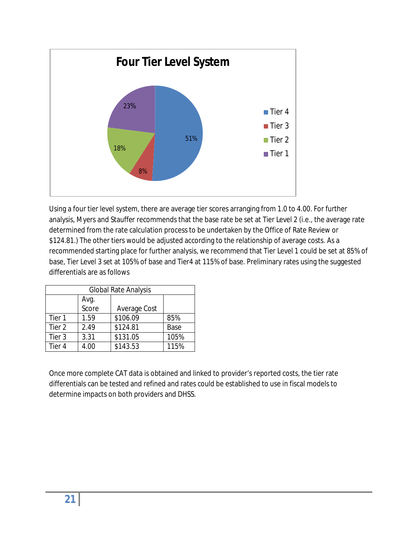

Using a four tier level system, there are average tier scores arranging from 1.0 to 4.00. For further analysis, Myers and Stauffer recommends that the base rate be set at Tier Level 2 (i.e., the average rate determined from the rate calculation process to be undertaken by the Office of Rate Review or \$124.81.) The other tiers would be adjusted according to the relationship of average costs. As a recommended starting place for further analysis, we recommend that Tier Level 1 could be set at 85% of base, Tier Level 3 set at 105% of base and Tier4 at 115% of base. Preliminary rates using the suggested differentials are as follows

| <b>Global Rate Analysis</b> |      |          |      |  |  |  |  |
|-----------------------------|------|----------|------|--|--|--|--|
|                             |      |          |      |  |  |  |  |
|                             |      |          |      |  |  |  |  |
| Tier 1                      | 1.59 | \$106.09 | 85%  |  |  |  |  |
| Tier 2                      | 2.49 | \$124.81 | Base |  |  |  |  |
| Tier 3                      | 3.31 | \$131.05 | 105% |  |  |  |  |
| Tier 4                      | 4.00 | \$143.53 | 115% |  |  |  |  |

Once more complete CAT data is obtained and linked to provider's reported costs, the tier rate differentials can be tested and refined and rates could be established to use in fiscal models to determine impacts on both providers and DHSS.